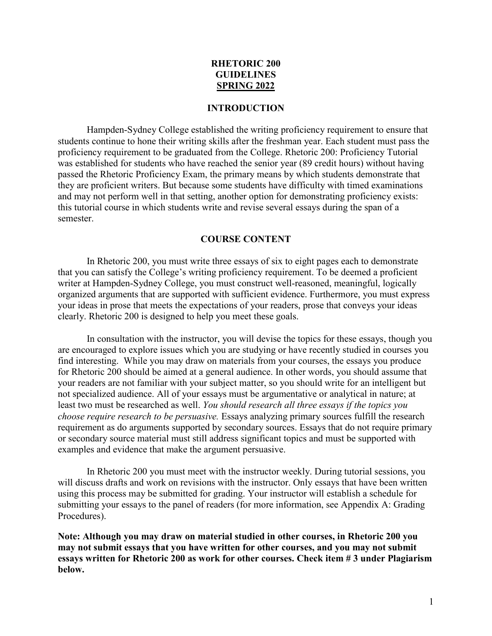# **RHETORIC 200 GUIDELINES SPRING 2022**

## **INTRODUCTION**

Hampden-Sydney College established the writing proficiency requirement to ensure that students continue to hone their writing skills after the freshman year. Each student must pass the proficiency requirement to be graduated from the College. Rhetoric 200: Proficiency Tutorial was established for students who have reached the senior year (89 credit hours) without having passed the Rhetoric Proficiency Exam, the primary means by which students demonstrate that they are proficient writers. But because some students have difficulty with timed examinations and may not perform well in that setting, another option for demonstrating proficiency exists: this tutorial course in which students write and revise several essays during the span of a semester.

# **COURSE CONTENT**

 In Rhetoric 200, you must write three essays of six to eight pages each to demonstrate that you can satisfy the College's writing proficiency requirement. To be deemed a proficient writer at Hampden-Sydney College, you must construct well-reasoned, meaningful, logically organized arguments that are supported with sufficient evidence. Furthermore, you must express your ideas in prose that meets the expectations of your readers, prose that conveys your ideas clearly. Rhetoric 200 is designed to help you meet these goals.

In consultation with the instructor, you will devise the topics for these essays, though you are encouraged to explore issues which you are studying or have recently studied in courses you find interesting. While you may draw on materials from your courses, the essays you produce for Rhetoric 200 should be aimed at a general audience. In other words, you should assume that your readers are not familiar with your subject matter, so you should write for an intelligent but not specialized audience. All of your essays must be argumentative or analytical in nature; at least two must be researched as well. *You should research all three essays if the topics you choose require research to be persuasive.* Essays analyzing primary sources fulfill the research requirement as do arguments supported by secondary sources. Essays that do not require primary or secondary source material must still address significant topics and must be supported with examples and evidence that make the argument persuasive.

In Rhetoric 200 you must meet with the instructor weekly. During tutorial sessions, you will discuss drafts and work on revisions with the instructor. Only essays that have been written using this process may be submitted for grading. Your instructor will establish a schedule for submitting your essays to the panel of readers (for more information, see Appendix A: Grading Procedures).

**Note: Although you may draw on material studied in other courses, in Rhetoric 200 you may not submit essays that you have written for other courses, and you may not submit essays written for Rhetoric 200 as work for other courses. Check item # 3 under Plagiarism below.**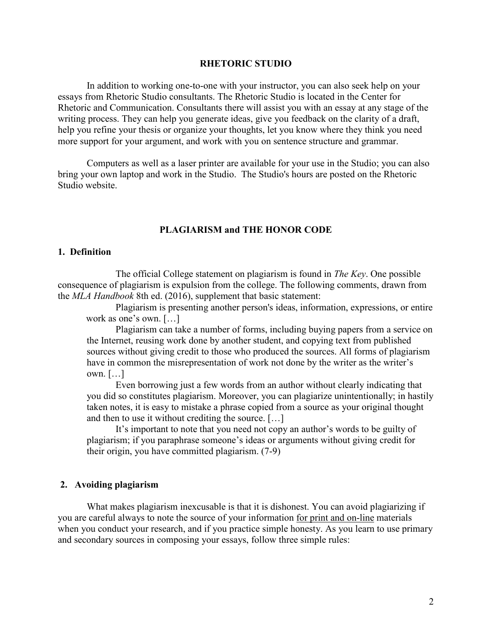#### **RHETORIC STUDIO**

 In addition to working one-to-one with your instructor, you can also seek help on your essays from Rhetoric Studio consultants. The Rhetoric Studio is located in the Center for Rhetoric and Communication. Consultants there will assist you with an essay at any stage of the writing process. They can help you generate ideas, give you feedback on the clarity of a draft, help you refine your thesis or organize your thoughts, let you know where they think you need more support for your argument, and work with you on sentence structure and grammar.

 Computers as well as a laser printer are available for your use in the Studio; you can also bring your own laptop and work in the Studio. The Studio's hours are posted on the Rhetoric Studio website.

# **PLAGIARISM and THE HONOR CODE**

#### **1. Definition**

 The official College statement on plagiarism is found in *The Key*. One possible consequence of plagiarism is expulsion from the college. The following comments, drawn from the *MLA Handbook* 8th ed. (2016), supplement that basic statement:

Plagiarism is presenting another person's ideas, information, expressions, or entire work as one's own. […]

Plagiarism can take a number of forms, including buying papers from a service on the Internet, reusing work done by another student, and copying text from published sources without giving credit to those who produced the sources. All forms of plagiarism have in common the misrepresentation of work not done by the writer as the writer's own. […]

Even borrowing just a few words from an author without clearly indicating that you did so constitutes plagiarism. Moreover, you can plagiarize unintentionally; in hastily taken notes, it is easy to mistake a phrase copied from a source as your original thought and then to use it without crediting the source. […]

It's important to note that you need not copy an author's words to be guilty of plagiarism; if you paraphrase someone's ideas or arguments without giving credit for their origin, you have committed plagiarism. (7-9)

## **2. Avoiding plagiarism**

What makes plagiarism inexcusable is that it is dishonest. You can avoid plagiarizing if you are careful always to note the source of your information for print and on-line materials when you conduct your research, and if you practice simple honesty. As you learn to use primary and secondary sources in composing your essays, follow three simple rules: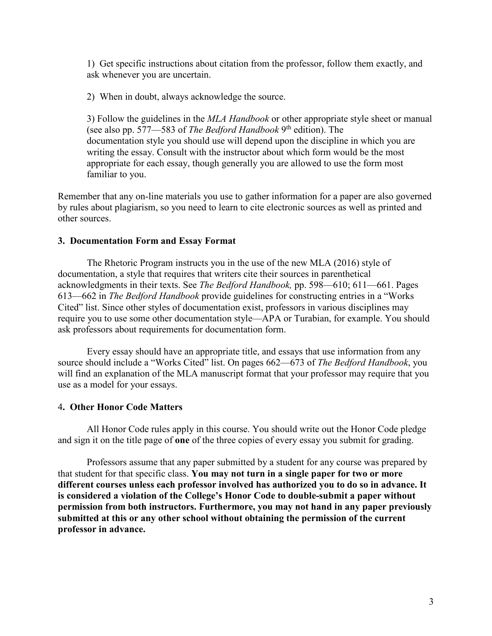1) Get specific instructions about citation from the professor, follow them exactly, and ask whenever you are uncertain.

2) When in doubt, always acknowledge the source.

3) Follow the guidelines in the *MLA Handbook* or other appropriate style sheet or manual (see also pp. 577—583 of *The Bedford Handbook* 9<sup>th</sup> edition). The documentation style you should use will depend upon the discipline in which you are writing the essay. Consult with the instructor about which form would be the most appropriate for each essay, though generally you are allowed to use the form most familiar to you.

Remember that any on-line materials you use to gather information for a paper are also governed by rules about plagiarism, so you need to learn to cite electronic sources as well as printed and other sources.

## **3. Documentation Form and Essay Format**

The Rhetoric Program instructs you in the use of the new MLA (2016) style of documentation, a style that requires that writers cite their sources in parenthetical acknowledgments in their texts. See *The Bedford Handbook,* pp. 598—610; 611—661. Pages 613—662 in *The Bedford Handbook* provide guidelines for constructing entries in a "Works Cited" list. Since other styles of documentation exist, professors in various disciplines may require you to use some other documentation style—APA or Turabian, for example. You should ask professors about requirements for documentation form.

Every essay should have an appropriate title, and essays that use information from any source should include a "Works Cited" list. On pages 662—673 of *The Bedford Handbook*, you will find an explanation of the MLA manuscript format that your professor may require that you use as a model for your essays.

# 4**. Other Honor Code Matters**

All Honor Code rules apply in this course. You should write out the Honor Code pledge and sign it on the title page of **one** of the three copies of every essay you submit for grading.

Professors assume that any paper submitted by a student for any course was prepared by that student for that specific class. **You may not turn in a single paper for two or more different courses unless each professor involved has authorized you to do so in advance. It is considered a violation of the College's Honor Code to double-submit a paper without permission from both instructors. Furthermore, you may not hand in any paper previously submitted at this or any other school without obtaining the permission of the current professor in advance.**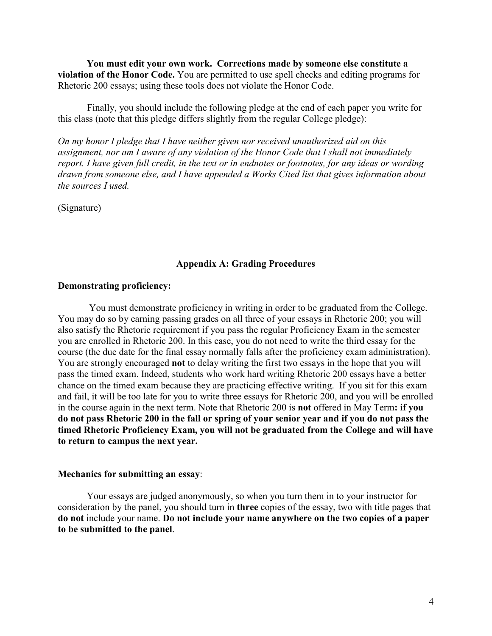**You must edit your own work. Corrections made by someone else constitute a violation of the Honor Code.** You are permitted to use spell checks and editing programs for Rhetoric 200 essays; using these tools does not violate the Honor Code.

Finally, you should include the following pledge at the end of each paper you write for this class (note that this pledge differs slightly from the regular College pledge):

*On my honor I pledge that I have neither given nor received unauthorized aid on this assignment, nor am I aware of any violation of the Honor Code that I shall not immediately report. I have given full credit, in the text or in endnotes or footnotes, for any ideas or wording drawn from someone else, and I have appended a Works Cited list that gives information about the sources I used.*

(Signature)

### **Appendix A: Grading Procedures**

### **Demonstrating proficiency:**

You must demonstrate proficiency in writing in order to be graduated from the College. You may do so by earning passing grades on all three of your essays in Rhetoric 200; you will also satisfy the Rhetoric requirement if you pass the regular Proficiency Exam in the semester you are enrolled in Rhetoric 200. In this case, you do not need to write the third essay for the course (the due date for the final essay normally falls after the proficiency exam administration). You are strongly encouraged **not** to delay writing the first two essays in the hope that you will pass the timed exam. Indeed, students who work hard writing Rhetoric 200 essays have a better chance on the timed exam because they are practicing effective writing. If you sit for this exam and fail, it will be too late for you to write three essays for Rhetoric 200, and you will be enrolled in the course again in the next term. Note that Rhetoric 200 is **not** offered in May Term**: if you do not pass Rhetoric 200 in the fall or spring of your senior year and if you do not pass the timed Rhetoric Proficiency Exam, you will not be graduated from the College and will have to return to campus the next year.**

#### **Mechanics for submitting an essay**:

Your essays are judged anonymously, so when you turn them in to your instructor for consideration by the panel, you should turn in **three** copies of the essay, two with title pages that **do not** include your name. **Do not include your name anywhere on the two copies of a paper to be submitted to the panel**.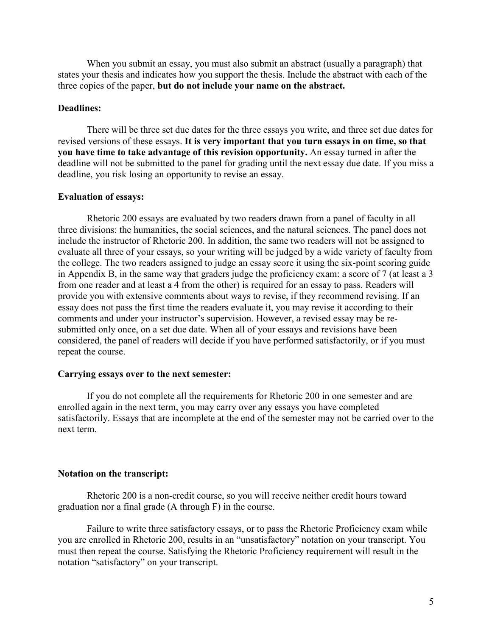When you submit an essay, you must also submit an abstract (usually a paragraph) that states your thesis and indicates how you support the thesis. Include the abstract with each of the three copies of the paper, **but do not include your name on the abstract.**

# **Deadlines:**

There will be three set due dates for the three essays you write, and three set due dates for revised versions of these essays. **It is very important that you turn essays in on time, so that you have time to take advantage of this revision opportunity.** An essay turned in after the deadline will not be submitted to the panel for grading until the next essay due date. If you miss a deadline, you risk losing an opportunity to revise an essay.

### **Evaluation of essays:**

Rhetoric 200 essays are evaluated by two readers drawn from a panel of faculty in all three divisions: the humanities, the social sciences, and the natural sciences. The panel does not include the instructor of Rhetoric 200. In addition, the same two readers will not be assigned to evaluate all three of your essays, so your writing will be judged by a wide variety of faculty from the college. The two readers assigned to judge an essay score it using the six-point scoring guide in Appendix B, in the same way that graders judge the proficiency exam: a score of 7 (at least a 3 from one reader and at least a 4 from the other) is required for an essay to pass. Readers will provide you with extensive comments about ways to revise, if they recommend revising. If an essay does not pass the first time the readers evaluate it, you may revise it according to their comments and under your instructor's supervision. However, a revised essay may be resubmitted only once, on a set due date. When all of your essays and revisions have been considered, the panel of readers will decide if you have performed satisfactorily, or if you must repeat the course.

#### **Carrying essays over to the next semester:**

If you do not complete all the requirements for Rhetoric 200 in one semester and are enrolled again in the next term, you may carry over any essays you have completed satisfactorily. Essays that are incomplete at the end of the semester may not be carried over to the next term.

#### **Notation on the transcript:**

Rhetoric 200 is a non-credit course, so you will receive neither credit hours toward graduation nor a final grade (A through F) in the course.

Failure to write three satisfactory essays, or to pass the Rhetoric Proficiency exam while you are enrolled in Rhetoric 200, results in an "unsatisfactory" notation on your transcript. You must then repeat the course. Satisfying the Rhetoric Proficiency requirement will result in the notation "satisfactory" on your transcript.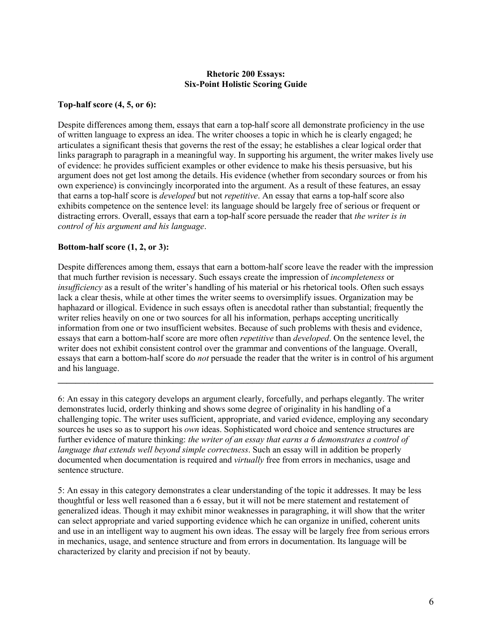## **Rhetoric 200 Essays: Six-Point Holistic Scoring Guide**

#### **Top-half score (4, 5, or 6):**

Despite differences among them, essays that earn a top-half score all demonstrate proficiency in the use of written language to express an idea. The writer chooses a topic in which he is clearly engaged; he articulates a significant thesis that governs the rest of the essay; he establishes a clear logical order that links paragraph to paragraph in a meaningful way. In supporting his argument, the writer makes lively use of evidence: he provides sufficient examples or other evidence to make his thesis persuasive, but his argument does not get lost among the details. His evidence (whether from secondary sources or from his own experience) is convincingly incorporated into the argument. As a result of these features, an essay that earns a top-half score is *developed* but not *repetitive*. An essay that earns a top-half score also exhibits competence on the sentence level: its language should be largely free of serious or frequent or distracting errors. Overall, essays that earn a top-half score persuade the reader that *the writer is in control of his argument and his language*.

### **Bottom-half score (1, 2, or 3):**

Despite differences among them, essays that earn a bottom-half score leave the reader with the impression that much further revision is necessary. Such essays create the impression of *incompleteness* or *insufficiency* as a result of the writer's handling of his material or his rhetorical tools. Often such essays lack a clear thesis, while at other times the writer seems to oversimplify issues. Organization may be haphazard or illogical. Evidence in such essays often is anecdotal rather than substantial; frequently the writer relies heavily on one or two sources for all his information, perhaps accepting uncritically information from one or two insufficient websites. Because of such problems with thesis and evidence, essays that earn a bottom-half score are more often *repetitive* than *developed*. On the sentence level, the writer does not exhibit consistent control over the grammar and conventions of the language. Overall, essays that earn a bottom-half score do *not* persuade the reader that the writer is in control of his argument and his language.

6: An essay in this category develops an argument clearly, forcefully, and perhaps elegantly. The writer demonstrates lucid, orderly thinking and shows some degree of originality in his handling of a challenging topic. The writer uses sufficient, appropriate, and varied evidence, employing any secondary sources he uses so as to support his *own* ideas. Sophisticated word choice and sentence structures are further evidence of mature thinking: *the writer of an essay that earns a 6 demonstrates a control of language that extends well beyond simple correctness*. Such an essay will in addition be properly documented when documentation is required and *virtually* free from errors in mechanics, usage and sentence structure.

**\_\_\_\_\_\_\_\_\_\_\_\_\_\_\_\_\_\_\_\_\_\_\_\_\_\_\_\_\_\_\_\_\_\_\_\_\_\_\_\_\_\_\_\_\_\_\_\_\_\_\_\_\_\_\_\_\_\_\_\_\_\_\_\_\_\_\_\_\_\_\_\_\_\_\_\_\_\_\_\_\_\_\_\_\_**

5: An essay in this category demonstrates a clear understanding of the topic it addresses. It may be less thoughtful or less well reasoned than a 6 essay, but it will not be mere statement and restatement of generalized ideas. Though it may exhibit minor weaknesses in paragraphing, it will show that the writer can select appropriate and varied supporting evidence which he can organize in unified, coherent units and use in an intelligent way to augment his own ideas. The essay will be largely free from serious errors in mechanics, usage, and sentence structure and from errors in documentation. Its language will be characterized by clarity and precision if not by beauty.